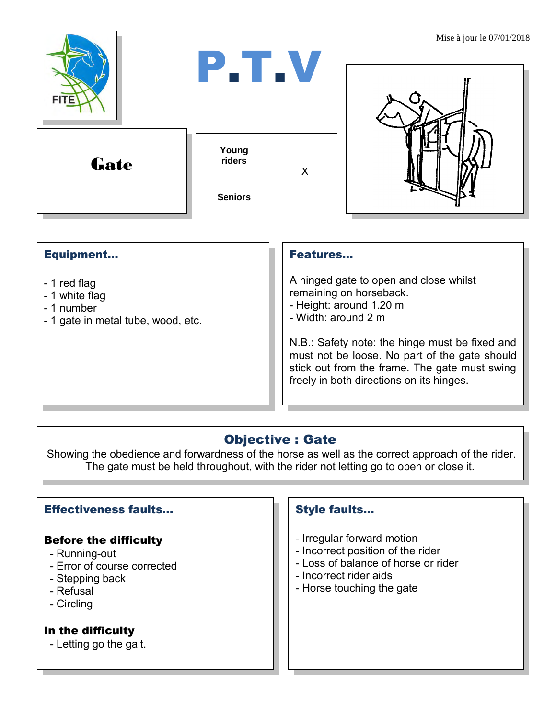

### Equipment...

- 1 red flag
- 1 white flag
- 1 number
- 1 gate in metal tube, wood, etc.

#### Features…

A hinged gate to open and close whilst remaining on horseback.

- Height: around 1.20 m
- Width: around 2 m

N.B.: Safety note: the hinge must be fixed and must not be loose. No part of the gate should stick out from the frame. The gate must swing freely in both directions on its hinges.

# Objective : Gate

Showing the obedience and forwardness of the horse as well as the correct approach of the rider. The gate must be held throughout, with the rider not letting go to open or close it.

## Effectiveness faults…

#### Before the difficulty

- Running-out
- Error of course corrected
- Stepping back
- Refusal
- Circling

### In the difficulty

- Letting go the gait.

## Style faults…

- Irregular forward motion
- Incorrect position of the rider
- Loss of balance of horse or rider
- Incorrect rider aids
- Horse touching the gate